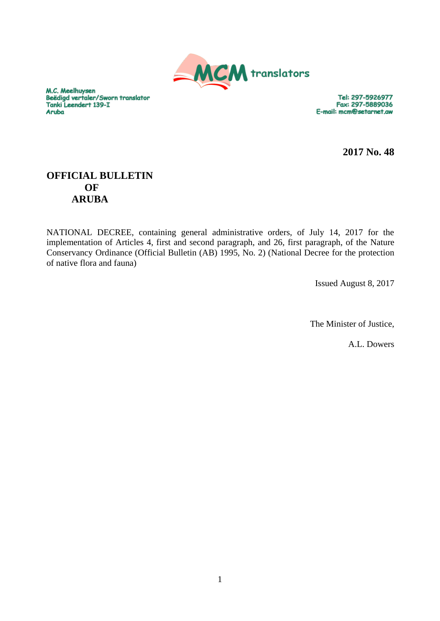

M.C. Meelhuysen Beëdigd vertaler/Sworn translator Tanki Leendert 139-I **Aruba** 

Tel: 297-5926977 Fax: 297-5889036 E-mail: mcm@setarnet.aw

**2017 No. 48**

# **OFFICIAL BULLETIN OF ARUBA**

NATIONAL DECREE, containing general administrative orders, of July 14, 2017 for the implementation of Articles 4, first and second paragraph, and 26, first paragraph, of the Nature Conservancy Ordinance (Official Bulletin (AB) 1995, No. 2) (National Decree for the protection of native flora and fauna)

Issued August 8, 2017

The Minister of Justice,

A.L. Dowers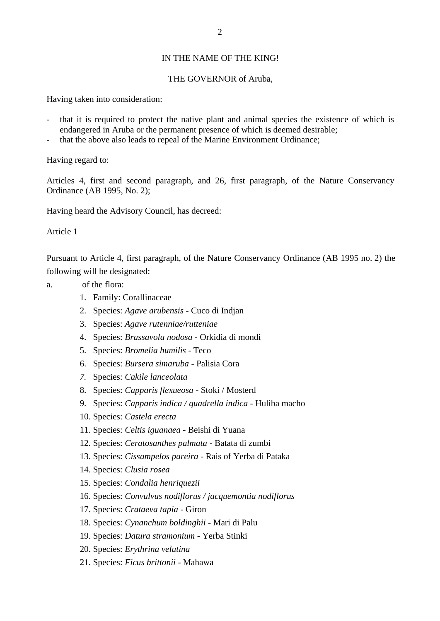### IN THE NAME OF THE KING!

#### THE GOVERNOR of Aruba,

Having taken into consideration:

- that it is required to protect the native plant and animal species the existence of which is endangered in Aruba or the permanent presence of which is deemed desirable;
- that the above also leads to repeal of the Marine Environment Ordinance;

Having regard to:

Articles 4, first and second paragraph, and 26, first paragraph, of the Nature Conservancy Ordinance (AB 1995, No. 2);

Having heard the Advisory Council, has decreed:

Article 1

Pursuant to Article 4, first paragraph, of the Nature Conservancy Ordinance (AB 1995 no. 2) the following will be designated:

- a. of the flora:
	- - 1. Family: Corallinaceae
		- 2. Species: *Agave arubensis* Cuco di Indjan
		- 3. Species: *Agave rutenniae/rutteniae*
		- 4. Species: *Brassavola nodosa* Orkidia di mondi
		- 5. Species: *Bromelia humilis* Teco
		- 6. Species: *Bursera simaruba* Palisia Cora
		- *7.* Species: *Cakile lanceolata*
		- 8. Species: *Capparis flexueosa* Stoki / Mosterd
		- 9. Species: *Capparis indica / quadrella indica* Huliba macho
		- 10. Species: *Castela erecta*
		- 11. Species: *Celtis iguanaea* Beishi di Yuana
		- 12. Species: *Ceratosanthes palmata* Batata di zumbi
		- 13. Species: *Cissampelos pareira* Rais of Yerba di Pataka
		- 14. Species: *Clusia rosea*
		- 15. Species: *Condalia henriquezii*
		- 16. Species: *Convulvus nodiflorus / jacquemontia nodiflorus*
		- 17. Species: *Crataeva tapia* Giron
		- 18. Species: *Cynanchum boldinghii* Mari di Palu
		- 19. Species: *Datura stramonium*  Yerba Stinki
		- 20. Species: *Erythrina velutina*
		- 21. Species: *Ficus brittonii* Mahawa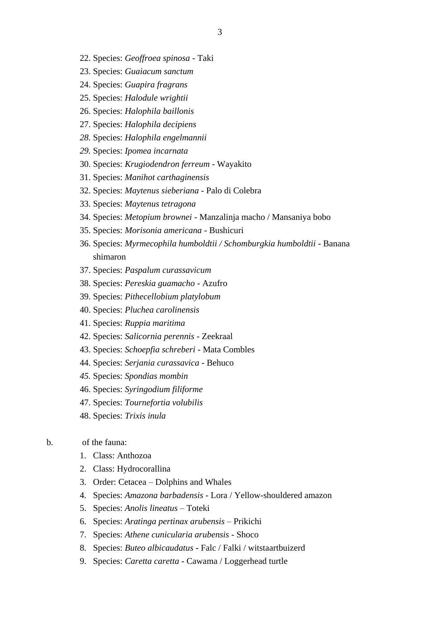3

- 22. Species: *Geoffroea spinosa* Taki
- 23. Species: *Guaiacum sanctum*
- 24. Species: *Guapira fragrans*
- 25. Species: *Halodule wrightii*
- 26. Species: *Halophila baillonis*
- 27. Species: *Halophila decipiens*
- *28.* Species: *Halophila engelmannii*
- *29.* Species: *Ipomea incarnata*
- 30. Species: *Krugiodendron ferreum* Wayakito
- 31. Species: *Manihot carthaginensis*
- 32. Species: *Maytenus sieberiana* Palo di Colebra
- 33. Species: *Maytenus tetragona*
- 34. Species: *Metopium brownei* Manzalinja macho / Mansaniya bobo
- 35. Species: *Morisonia americana* Bushicuri
- 36. Species: *Myrmecophila humboldtii / Schomburgkia humboldtii* Banana shimaron
- 37. Species: *Paspalum curassavicum*
- 38. Species: *Pereskia guamacho* Azufro
- 39. Species: *Pithecellobium platylobum*
- 40. Species: *Pluchea carolinensis*
- 41. Species: *Ruppia maritima*
- 42. Species: *Salicornia perennis* Zeekraal
- 43. Species: *Schoepfia schreberi* Mata Combles
- 44. Species: *Serjania curassavica* Behuco
- *45.* Species: *Spondias mombin*
- 46. Species: *Syringodium filiforme*
- 47. Species: *Tournefortia volubilis*
- 48. Species: *Trixis inula*

## b. of the fauna:

- 1. Class: Anthozoa
- 2. Class: Hydrocorallina
- 3. Order: Cetacea Dolphins and Whales
- 4. Species: *Amazona barbadensis* Lora / Yellow-shouldered amazon
- 5. Species: *Anolis lineatus* Toteki
- 6. Species: *Aratinga pertinax arubensis* Prikichi
- 7. Species: *Athene cunicularia arubensis* Shoco
- 8. Species: *Buteo albicaudatus* Falc / Falki / witstaartbuizerd
- 9. Species: *Caretta caretta* Cawama / Loggerhead turtle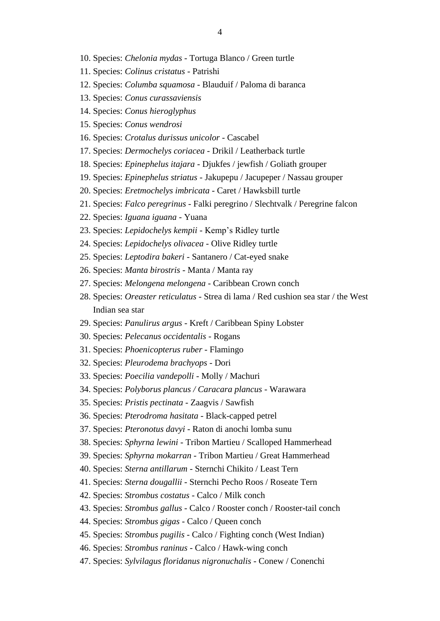- 10. Species: *Chelonia mydas* Tortuga Blanco / Green turtle
- 11. Species: *Colinus cristatus* Patrishi
- 12. Species: *Columba squamosa* Blauduif / Paloma di baranca
- 13. Species: *Conus curassaviensis*
- 14. Species: *Conus hieroglyphus*
- 15. Species: *Conus wendrosi*
- 16. Species: *Crotalus durissus unicolor* Cascabel
- 17. Species: *Dermochelys coriacea* Drikil / Leatherback turtle
- 18. Species: *Epinephelus itajara* Djukfes / jewfish / Goliath grouper
- 19. Species: *Epinephelus striatus* Jakupepu / Jacupeper / Nassau grouper
- 20. Species: *Eretmochelys imbricata* Caret / Hawksbill turtle
- 21. Species: *Falco peregrinus* Falki peregrino / Slechtvalk / Peregrine falcon
- 22. Species: *Iguana iguana* Yuana
- 23. Species: *Lepidochelys kempii* Kemp's Ridley turtle
- 24. Species: *Lepidochelys olivacea* Olive Ridley turtle
- 25. Species: *Leptodira bakeri* Santanero / Cat-eyed snake
- 26. Species: *Manta birostris* Manta / Manta ray
- 27. Species: *Melongena melongena* Caribbean Crown conch
- 28. Species: *Oreaster reticulatus* Strea di lama / Red cushion sea star / the West Indian sea star
- 29. Species: *Panulirus argus* Kreft / Caribbean Spiny Lobster
- 30. Species: *Pelecanus occidentalis* Rogans
- 31. Species: *Phoenicopterus ruber* Flamingo
- 32. Species: *Pleurodema brachyops* Dori
- 33. Species: *Poecilia vandepolli* Molly / Machuri
- 34. Species: *Polyborus plancus / Caracara plancus* Warawara
- 35. Species: *Pristis pectinata* Zaagvis / Sawfish
- 36. Species: *Pterodroma hasitata* Black-capped petrel
- 37. Species: *Pteronotus davyi* Raton di anochi lomba sunu
- 38. Species: *Sphyrna lewini* Tribon Martieu / Scalloped Hammerhead
- 39. Species: *Sphyrna mokarran* Tribon Martieu / Great Hammerhead
- 40. Species: *Sterna antillarum* Sternchi Chikito / Least Tern
- 41. Species: *Sterna dougallii* Sternchi Pecho Roos / Roseate Tern
- 42. Species: *Strombus costatus* Calco / Milk conch
- 43. Species: *Strombus gallus* Calco / Rooster conch / Rooster-tail conch
- 44. Species: *Strombus gigas* Calco / Queen conch
- 45. Species: *Strombus pugilis* Calco / Fighting conch (West Indian)
- 46. Species: *Strombus raninus* Calco / Hawk-wing conch
- 47. Species: *Sylvilagus floridanus nigronuchalis* Conew / Conenchi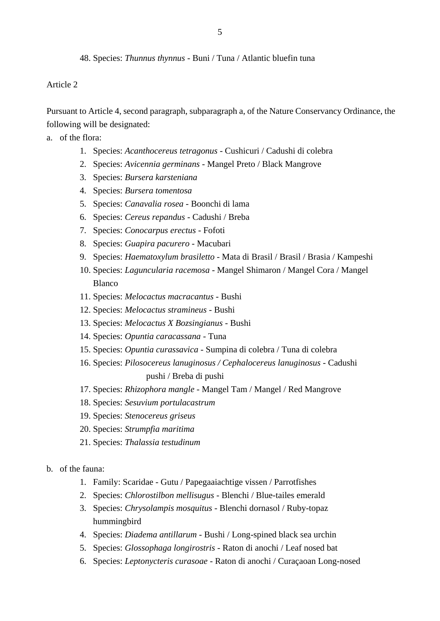48. Species: *Thunnus thynnus* - Buni / Tuna / Atlantic bluefin tuna

Article 2

Pursuant to Article 4, second paragraph, subparagraph a, of the Nature Conservancy Ordinance, the following will be designated:

a. of the flora:

- 1. Species: *Acanthocereus tetragonus* Cushicuri / Cadushi di colebra
- 2. Species: *Avicennia germinans* Mangel Preto / Black Mangrove
- 3. Species: *Bursera karsteniana*
- 4. Species: *Bursera tomentosa*
- 5. Species: *Canavalia rosea* Boonchi di lama
- 6. Species: *Cereus repandus*  Cadushi / Breba
- 7. Species: *Conocarpus erectus* Fofoti
- 8. Species: *Guapira pacurero* Macubari
- 9. Species: *Haematoxylum brasiletto* Mata di Brasil / Brasil / Brasia / Kampeshi
- 10. Species: *Laguncularia racemosa* Mangel Shimaron / Mangel Cora / Mangel Blanco
- 11. Species: *Melocactus macracantus* Bushi
- 12. Species: *Melocactus stramineus* Bushi
- 13. Species: *Melocactus X Bozsingianus* Bushi
- 14. Species: *Opuntia caracassana* Tuna
- 15. Species: *Opuntia curassavica* Sumpina di colebra / Tuna di colebra
- 16. Species: *Pilosocereus lanuginosus / Cephalocereus lanuginosus* Cadushi pushi / Breba di pushi
- 17. Species: *Rhizophora mangle* Mangel Tam / Mangel / Red Mangrove
- 18. Species: *Sesuvium portulacastrum*
- 19. Species: *Stenocereus griseus*
- 20. Species: *Strumpfia maritima*
- 21. Species: *Thalassia testudinum*

b. of the fauna:

- 1. Family: Scaridae Gutu / Papegaaiachtige vissen / Parrotfishes
- 2. Species: *Chlorostilbon mellisugus* Blenchi / Blue-tailes emerald
- 3. Species: *Chrysolampis mosquitus* Blenchi dornasol / Ruby-topaz hummingbird
- 4. Species: *Diadema antillarum* Bushi / Long-spined black sea urchin
- 5. Species: *Glossophaga longirostris* Raton di anochi / Leaf nosed bat
- 6. Species: *Leptonycteris curasoae* Raton di anochi / Curaçaoan Long-nosed